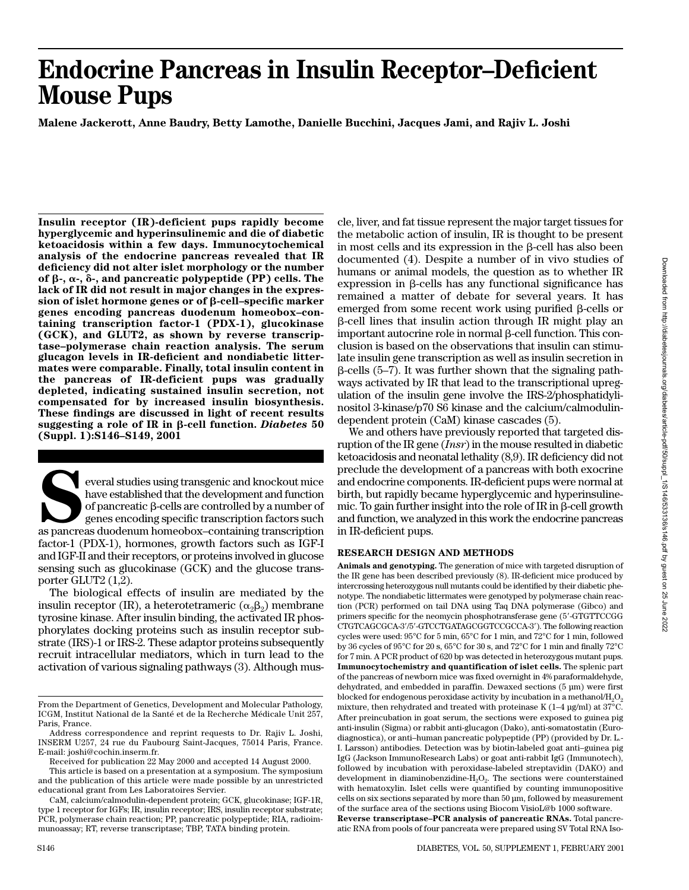# **Endocrine Pancreas in Insulin Receptor–Deficient Mouse Pups**

**Malene Jackerott, Anne Baudry, Betty Lamothe, Danielle Bucchini, Jacques Jami, and Rajiv L. Joshi**

**Insulin receptor (IR)-deficient pups rapidly become hyperglycemic and hyperinsulinemic and die of diabetic ketoacidosis within a few days. Immunocytochemical analysis of the endocrine pancreas revealed that IR deficiency did not alter islet morphology or the number** of  $\beta$ -,  $\alpha$ -,  $\delta$ -, and pancreatic polypeptide (PP) cells. The **lack of IR did not result in major changes in the expres**sion of islet hormone genes or of β-cell–specific marker **genes encoding pancreas duodenum homeobox–containing transcription factor-1 (PDX-1), glucokinase (GCK), and GLUT2, as shown by reverse transcriptase–polymerase chain reaction analysis. The serum glucagon levels in IR-deficient and nondiabetic littermates were comparable. Finally, total insulin content in the pancreas of IR-deficient pups was gradually depleted, indicating sustained insulin secretion, not compensated for by increased insulin biosynthesis. These findings are discussed in light of recent results suggesting a role of IR in** -**-cell function.** *Diabetes* **50 (Suppl. 1):S146–S149, 2001**

**S**everal studies using transgenic and knockout mice have established that the development and function of pancreatic  $\beta$ -cells are controlled by a number of genes encoding specific transcription factors such as pancreas duodenum homeobox–containing transcription factor-1 (PDX-1), hormones, growth factors such as IGF-I and IGF-II and their receptors, or proteins involved in glucose sensing such as glucokinase (GCK) and the glucose transporter GLUT2 (1,2).

The biological effects of insulin are mediated by the insulin receptor (IR), a heterotetrameric  $(\alpha_2\beta_2)$  membrane tyrosine kinase. After insulin binding, the activated IR phosphorylates docking proteins such as insulin receptor substrate (IRS)-1 or IRS-2. These adaptor proteins subsequently recruit intracellular mediators, which in turn lead to the activation of various signaling pathways (3). Although mus-

This article is based on a presentation at a symposium. The symposium and the publication of this article were made possible by an unrestricted educational grant from Les Laboratoires Servier.

CaM, calcium/calmodulin-dependent protein; GCK, glucokinase; IGF-1R, type 1 receptor for IGFs; IR, insulin receptor; IRS, insulin receptor substrate; PCR, polymerase chain reaction; PP, pancreatic polypeptide; RIA, radioimmunoassay; RT, reverse transcriptase; TBP, TATA binding protein.

cle, liver, and fat tissue represent the major target tissues for the metabolic action of insulin, IR is thought to be present in most cells and its expression in the  $\beta$ -cell has also been documented (4). Despite a number of in vivo studies of humans or animal models, the question as to whether IR  $expression$  in  $\beta$ -cells has any functional significance has remained a matter of debate for several years. It has emerged from some recent work using purified  $\beta$ -cells or --cell lines that insulin action through IR might play an important autocrine role in normal  $\beta$ -cell function. This conclusion is based on the observations that insulin can stimulate insulin gene transcription as well as insulin secretion in  $\beta$ -cells (5–7). It was further shown that the signaling pathways activated by IR that lead to the transcriptional upregulation of the insulin gene involve the IRS-2/phosphatidylinositol 3-kinase/p70 S6 kinase and the calcium/calmodulindependent protein (CaM) kinase cascades (5).

We and others have previously reported that targeted disruption of the IR gene (*Insr*) in the mouse resulted in diabetic ketoacidosis and neonatal lethality (8,9). IR deficiency did not preclude the development of a pancreas with both exocrine and endocrine components. IR-deficient pups were normal at birth, but rapidly became hyperglycemic and hyperinsulinemic. To gain further insight into the role of  $IR$  in  $\beta$ -cell growth and function, we analyzed in this work the endocrine pancreas in IR-deficient pups.

#### **RESEARCH DESIGN AND METHODS**

**Animals and genotyping.** The generation of mice with targeted disruption of the IR gene has been described previously (8). IR-deficient mice produced by intercrossing heterozygous null mutants could be identified by their diabetic phenotype. The nondiabetic littermates were genotyped by polymerase chain reaction (PCR) performed on tail DNA using Taq DNA polymerase (Gibco) and primers specific for the neomycin phosphotransferase gene (5-GTGTTCCGG CTGTCAGCGCA-3/5-GTCCTGATAGCGGTCCGCCA-3). The following reaction cycles were used: 95°C for 5 min, 65°C for 1 min, and 72°C for 1 min, followed by 36 cycles of 95°C for 20 s, 65°C for 30 s, and 72°C for 1 min and finally 72°C for 7 min. A PCR product of 620 bp was detected in heterozygous mutant pups. **Immunocytochemistry and quantification of islet cells.** The splenic part of the pancreas of newborn mice was fixed overnight in 4% paraformaldehyde, dehydrated, and embedded in paraffin. Dewaxed sections (5 µm) were first blocked for endogenous peroxidase activity by incubation in a methanol/ $H_2O_2$ mixture, then rehydrated and treated with proteinase K (1–4 µg/ml) at 37°C. After preincubation in goat serum, the sections were exposed to guinea pig anti-insulin (Sigma) or rabbit anti-glucagon (Dako), anti-somatostatin (Eurodiagnostica), or anti–human pancreatic polypeptide (PP) (provided by Dr. L.- I. Larsson) antibodies. Detection was by biotin-labeled goat anti–guinea pig IgG (Jackson ImmunoResearch Labs) or goat anti-rabbit IgG (Immunotech), followed by incubation with peroxidase-labeled streptavidin (DAKO) and development in diaminobenzidine- $H_2O_2$ . The sections were counterstained with hematoxylin. Islet cells were quantified by counting immunopositive cells on six sections separated by more than 50 µm, followed by measurement of the surface area of the sections using Biocom VisioL@b 1000 software.

**Reverse transcriptase–PCR analysis of pancreatic RNAs.** Total pancreatic RNA from pools of four pancreata were prepared using SV Total RNA Iso-

From the Department of Genetics, Development and Molecular Pathology, ICGM, Institut National de la Santé et de la Recherche Médicale Unit 257, Paris, France.

Address correspondence and reprint requests to Dr. Rajiv L. Joshi, INSERM U257, 24 rue du Faubourg Saint-Jacques, 75014 Paris, France. E-mail: joshi@cochin.inserm.fr.

Received for publication 22 May 2000 and accepted 14 August 2000.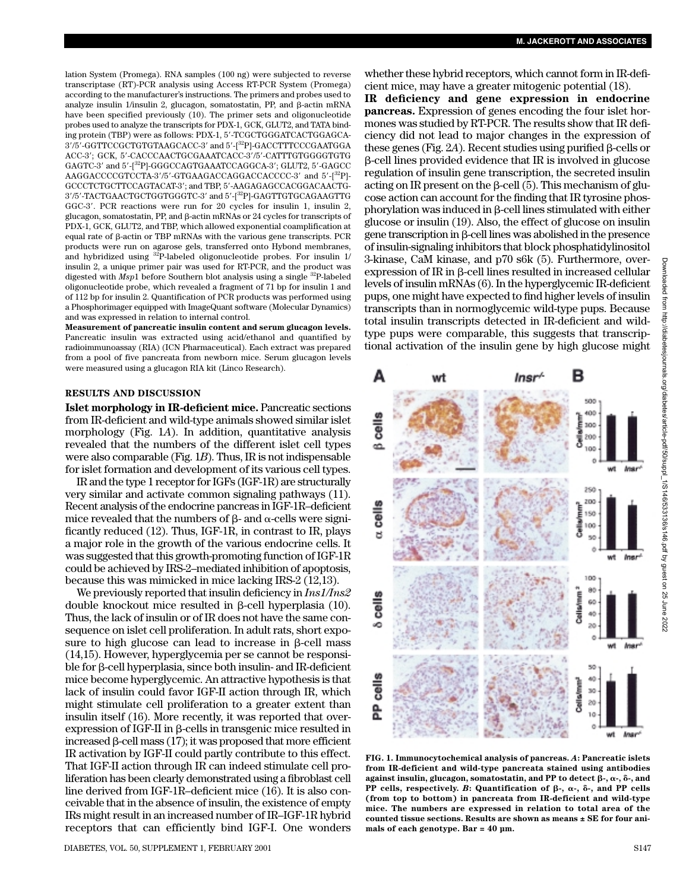lation System (Promega). RNA samples (100 ng) were subjected to reverse transcriptase (RT)-PCR analysis using Access RT-PCR System (Promega) according to the manufacturer's instructions. The primers and probes used to analyze insulin 1/insulin 2, glucagon, somatostatin, PP, and  $\beta$ -actin mRNA have been specified previously (10). The primer sets and oligonucleotide probes used to analyze the transcripts for PDX-1, GCK, GLUT2, and TATA binding protein (TBP) were as follows: PDX-1, 5'-TCGCTGGGATCACTGGAGCA-3/5-GGTTCCGCTGTGTAAGCACC-3 and 5-[32P]-GACCTTTCCCGAATGGA ACC-3; GCK, 5-CACCCAACTGCGAAATCACC-3/5-CATTTGTGGGGTGTG GAGTC-3 and 5-[32P]-GGGCCAGTGAAATCCAGGCA-3; GLUT2, 5-GAGCC AAGGACCCCGTCCTA-3'/5'-GTGAAGACCAGGACCACCCC-3' and 5'-[32P]-GCCCTCTGCTTCCAGTACAT-3; and TBP, 5-AAGAGAGCCACGGACAACTG-3/5-TACTGAACTGCTGGTGGGTC-3 and 5-[32P]-GAGTTGTGCAGAAGTTG GGC-3'. PCR reactions were run for 20 cycles for insulin 1, insulin 2, glucagon, somatostatin, PP, and  $\beta$ -actin mRNAs or 24 cycles for transcripts of PDX-1, GCK, GLUT2, and TBP, which allowed exponential coamplification at equal rate of  $\beta$ -actin or TBP mRNAs with the various gene transcripts. PCR products were run on agarose gels, transferred onto Hybond membranes, and hybridized using 32P-labeled oligonucleotide probes. For insulin 1/ insulin 2, a unique primer pair was used for RT-PCR, and the product was digested with *Msp*1 before Southern blot analysis using a single <sup>32</sup>P-labeled oligonucleotide probe, which revealed a fragment of 71 bp for insulin 1 and of 112 bp for insulin 2. Quantification of PCR products was performed using a Phosphorimager equipped with ImageQuant software (Molecular Dynamics) and was expressed in relation to internal control.

**Measurement of pancreatic insulin content and serum glucagon levels.** Pancreatic insulin was extracted using acid/ethanol and quantified by radioimmunoassay (RIA) (ICN Pharmaceutical). Each extract was prepared from a pool of five pancreata from newborn mice. Serum glucagon levels were measured using a glucagon RIA kit (Linco Research).

#### **RESULTS AND DISCUSSION**

**Islet morphology in IR-deficient mice.** Pancreatic sections from IR-deficient and wild-type animals showed similar islet morphology (Fig. 1*A*). In addition, quantitative analysis revealed that the numbers of the different islet cell types were also comparable (Fig. 1*B*). Thus, IR is not indispensable for islet formation and development of its various cell types.

IR and the type 1 receptor for IGFs (IGF-1R) are structurally very similar and activate common signaling pathways (11). Recent analysis of the endocrine pancreas in IGF-1R–deficient mice revealed that the numbers of  $\beta$ - and  $\alpha$ -cells were significantly reduced (12). Thus, IGF-1R, in contrast to IR, plays a major role in the growth of the various endocrine cells. It was suggested that this growth-promoting function of IGF-1R could be achieved by IRS-2–mediated inhibition of apoptosis, because this was mimicked in mice lacking IRS-2 (12,13).

We previously reported that insulin deficiency in *Ins1/Ins2* double knockout mice resulted in  $\beta$ -cell hyperplasia (10). Thus, the lack of insulin or of IR does not have the same consequence on islet cell proliferation. In adult rats, short exposure to high glucose can lead to increase in  $\beta$ -cell mass (14,15). However, hyperglycemia per se cannot be responsible for β-cell hyperplasia, since both insulin- and IR-deficient mice become hyperglycemic. An attractive hypothesis is that lack of insulin could favor IGF-II action through IR, which might stimulate cell proliferation to a greater extent than insulin itself (16). More recently, it was reported that overexpression of IGF-II in β-cells in transgenic mice resulted in increased  $\beta$ -cell mass (17); it was proposed that more efficient IR activation by IGF-II could partly contribute to this effect. That IGF-II action through IR can indeed stimulate cell proliferation has been clearly demonstrated using a fibroblast cell line derived from IGF-1R–deficient mice (16). It is also conceivable that in the absence of insulin, the existence of empty IRs might result in an increased number of IR–IGF-1R hybrid receptors that can efficiently bind IGF-I. One wonders

whether these hybrid receptors, which cannot form in IR-deficient mice, may have a greater mitogenic potential (18).

**IR deficiency and gene expression in endocrine pancreas.** Expression of genes encoding the four islet hormones was studied by RT-PCR. The results show that IR deficiency did not lead to major changes in the expression of these genes (Fig.  $2A$ ). Recent studies using purified  $\beta$ -cells or --cell lines provided evidence that IR is involved in glucose regulation of insulin gene transcription, the secreted insulin acting on IR present on the  $\beta$ -cell (5). This mechanism of glucose action can account for the finding that IR tyrosine phos $p$ horylation was induced in  $\beta$ -cell lines stimulated with either glucose or insulin (19). Also, the effect of glucose on insulin gene transcription in  $\beta$ -cell lines was abolished in the presence of insulin-signaling inhibitors that block phosphatidylinositol 3-kinase, CaM kinase, and p70 s6k (5). Furthermore, over- $\exp$ ression of IR in  $\beta$ -cell lines resulted in increased cellular levels of insulin mRNAs (6). In the hyperglycemic IR-deficient pups, one might have expected to find higher levels of insulin transcripts than in normoglycemic wild-type pups. Because total insulin transcripts detected in IR-deficient and wildtype pups were comparable, this suggests that transcriptional activation of the insulin gene by high glucose might



**FIG. 1. Immunocytochemical analysis of pancreas.** *A***: Pancreatic islets from IR-deficient and wild-type pancreata stained using antibodies against insulin, glucagon, somatostatin, and PP to detect β-, α-, δ-, and** PP cells, respectively.  $B$ : Quantification of  $\beta$ -,  $\alpha$ -,  $\delta$ -, and PP cells **(from top to bottom) in pancreata from IR-deficient and wild-type mice. The numbers are expressed in relation to total area of the counted tissue sections. Results are shown as means ± SE for four animals of each genotype. Bar = 40 µm.**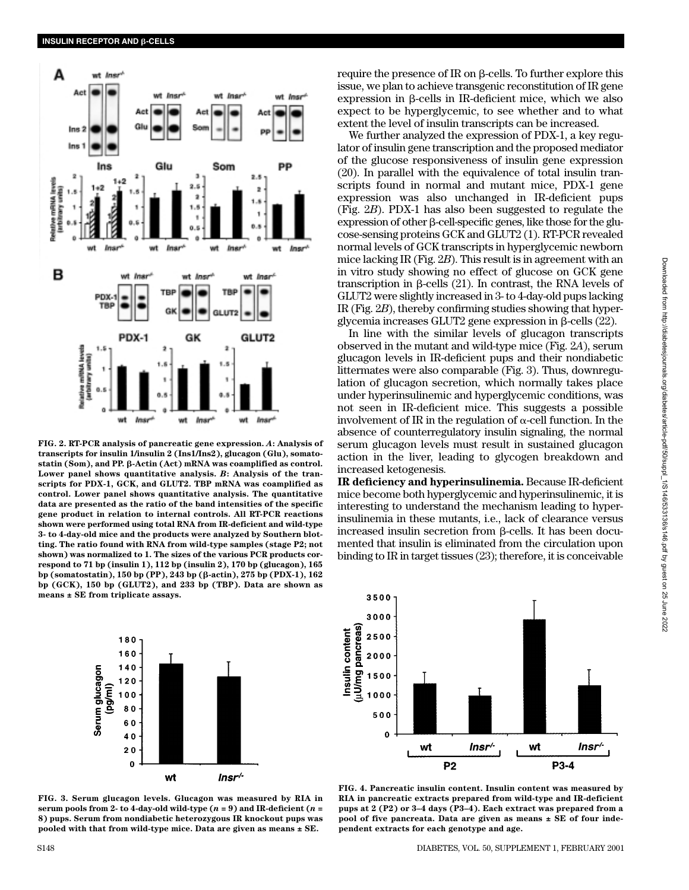

**FIG. 2. RT-PCR analysis of pancreatic gene expression.** *A***: Analysis of transcripts for insulin 1/insulin 2 (Ins1/Ins2), glucagon (Glu), somato**statin (Som), and PP. β-Actin (Act) mRNA was coamplified as control. **Lower panel shows quantitative analysis.** *B***: Analysis of the transcripts for PDX-1, GCK, and GLUT2. TBP mRNA was coamplified as control. Lower panel shows quantitative analysis. The quantitative data are presented as the ratio of the band intensities of the specific gene product in relation to internal controls. All RT-PCR reactions shown were performed using total RNA from IR-deficient and wild-type 3- to 4-day-old mice and the products were analyzed by Southern blotting. The ratio found with RNA from wild-type samples (stage P2; not shown) was normalized to 1. The sizes of the various PCR products correspond to 71 bp (insulin 1), 112 bp (insulin 2), 170 bp (glucagon), 165 bp (somatostatin), 150 bp (PP), 243 bp (β-actin), 275 bp (PDX-1), 162 bp (GCK), 150 bp (GLUT2), and 233 bp (TBP). Data are shown as means ± SE from triplicate assays.**



**FIG. 3. Serum glucagon levels. Glucagon was measured by RIA in serum pools from 2- to 4-day-old wild-type (***n* **= 9) and IR-deficient (***n* **= 8) pups. Serum from nondiabetic heterozygous IR knockout pups was pooled with that from wild-type mice. Data are given as means ± SE.**

 $require$  the presence of IR on  $\beta$ -cells. To further explore this issue, we plan to achieve transgenic reconstitution of IR gene  $expression$  in  $\beta$ -cells in IR-deficient mice, which we also expect to be hyperglycemic, to see whether and to what extent the level of insulin transcripts can be increased.

We further analyzed the expression of PDX-1, a key regulator of insulin gene transcription and the proposed mediator of the glucose responsiveness of insulin gene expression (20). In parallel with the equivalence of total insulin transcripts found in normal and mutant mice, PDX-1 gene expression was also unchanged in IR-deficient pups (Fig. 2*B*). PDX-1 has also been suggested to regulate the expression of other  $\beta$ -cell-specific genes, like those for the glucose-sensing proteins GCK and GLUT2 (1). RT-PCR revealed normal levels of GCK transcripts in hyperglycemic newborn mice lacking IR (Fig. 2*B*). This result is in agreement with an in vitro study showing no effect of glucose on GCK gene transcription in  $\beta$ -cells (21). In contrast, the RNA levels of GLUT2 were slightly increased in 3- to 4-day-old pups lacking IR (Fig. 2*B*), thereby confirming studies showing that hyper $glycemia$  increases GLUT2 gene expression in  $\beta$ -cells (22).

In line with the similar levels of glucagon transcripts observed in the mutant and wild-type mice (Fig. 2*A*), serum glucagon levels in IR-deficient pups and their nondiabetic littermates were also comparable (Fig. 3). Thus, downregulation of glucagon secretion, which normally takes place under hyperinsulinemic and hyperglycemic conditions, was not seen in IR-deficient mice. This suggests a possible involvement of IR in the regulation of  $\alpha$ -cell function. In the absence of counterregulatory insulin signaling, the normal serum glucagon levels must result in sustained glucagon action in the liver, leading to glycogen breakdown and increased ketogenesis.

**IR deficiency and hyperinsulinemia.** Because IR-deficient mice become both hyperglycemic and hyperinsulinemic, it is interesting to understand the mechanism leading to hyperinsulinemia in these mutants, i.e., lack of clearance versus increased insulin secretion from  $\beta$ -cells. It has been documented that insulin is eliminated from the circulation upon binding to IR in target tissues (23); therefore, it is conceivable



**FIG. 4. Pancreatic insulin content. Insulin content was measured by RIA in pancreatic extracts prepared from wild-type and IR-deficient pups at 2 (P2) or 3–4 days (P3–4). Each extract was prepared from a pool of five pancreata. Data are given as means ± SE of four independent extracts for each genotype and age.**